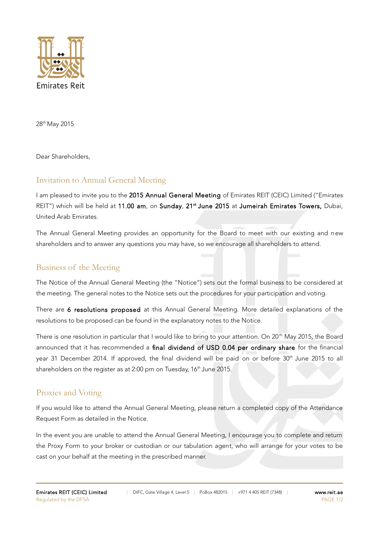

28th May 2015

Dear Shareholders,

## Invitation to Annual General Meeting

I am pleased to invite you to the 2015 Annual General Meeting of Emirates REIT (CEIC) Limited ("Emirates REIT") which will be held at 11.00 am, on Sunday, 21<sup>st</sup> June 2015 at Jumeirah Emirates Towers, Dubai, United Arab Emirates.

The Annual General Meeting provides an opportunity for the Board to meet with our existing and new shareholders and to answer any questions you may have, so we encourage all shareholders to attend.

## Business of the Meeting

The Notice of the Annual General Meeting (the "Notice") sets out the formal business to be considered at the meeting. The general notes to the Notice sets out the procedures for your participation and voting.

There are 6 resolutions proposed at this Annual General Meeting. More detailed explanations of the resolutions to be proposed can be found in the explanatory notes to the Notice.

There is one resolution in particular that I would like to bring to your attention. On 20<sup>th</sup> May 2015, the Board announced that it has recommended a final dividend of USD 0.04 per ordinary share for the financial year 31 December 2014. If approved, the final dividend will be paid on or before 30<sup>th</sup> June 2015 to all shareholders on the register as at 2:00 pm on Tuesday, 16<sup>th</sup> June 2015.

## Proxies and Voting

If you would like to attend the Annual General Meeting, please return a completed copy of the Attendance Request Form as detailed in the Notice.

In the event you are unable to attend the Annual General Meeting, I encourage you to complete and return the Proxy Form to your broker or custodian or our tabulation agent, who will arrange for your votes to be cast on your behalf at the meeting in the prescribed manner.